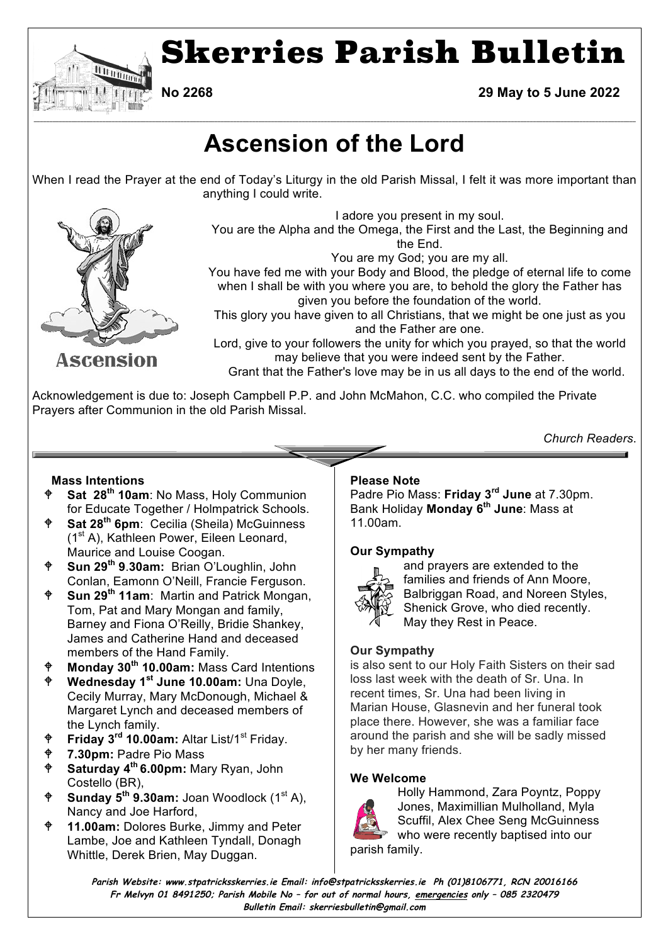

**No 2268 29 May to 5 June 2022**

# **Ascension of the Lord**

**\_\_\_\_\_\_\_\_\_\_\_\_\_\_\_\_\_\_\_\_\_\_\_\_\_\_\_\_\_\_\_\_\_\_\_\_\_\_\_\_\_\_\_\_\_\_\_\_\_\_\_\_\_\_\_\_\_\_\_\_\_\_\_\_\_\_\_\_\_\_\_\_\_\_\_\_\_\_\_\_\_\_\_\_\_\_\_\_\_\_\_\_\_\_\_\_\_\_\_\_\_\_\_\_\_\_\_\_\_\_\_\_\_\_\_\_\_\_\_\_\_\_\_\_\_\_\_\_\_\_\_\_\_\_\_\_\_\_\_\_\_\_\_\_\_\_\_\_\_\_\_\_\_\_\_\_\_\_\_\_\_\_\_\_\_\_\_\_\_\_\_\_\_\_\_\_\_\_\_\_\_\_\_\_\_\_\_\_\_\_\_\_\_**

When I read the Prayer at the end of Today's Liturgy in the old Parish Missal, I felt it was more important than anything I could write.



I adore you present in my soul.

You are the Alpha and the Omega, the First and the Last, the Beginning and the End.

You are my God; you are my all.

You have fed me with your Body and Blood, the pledge of eternal life to come when I shall be with you where you are, to behold the glory the Father has given you before the foundation of the world.

This glory you have given to all Christians, that we might be one just as you and the Father are one.

Lord, give to your followers the unity for which you prayed, so that the world may believe that you were indeed sent by the Father.

Grant that the Father's love may be in us all days to the end of the world.

Acknowledgement is due to: Joseph Campbell P.P. and John McMahon, C.C. who compiled the Private Prayers after Communion in the old Parish Missal.

*Church Readers*.

# **Mass Intentions**

- Sat 28<sup>th</sup> 10am: No Mass, Holy Communion for Educate Together / Holmpatrick Schools.
- **Sat 28<sup>th</sup> 6pm**: Cecilia (Sheila) McGuinness (1st A), Kathleen Power, Eileen Leonard, Maurice and Louise Coogan.
- W **Sun 29th 9**.**30am:** Brian O'Loughlin, John Conlan, Eamonn O'Neill, Francie Ferguson.
- W **Sun 29th 11am**: Martin and Patrick Mongan, Tom, Pat and Mary Mongan and family, Barney and Fiona O'Reilly, Bridie Shankey, James and Catherine Hand and deceased members of the Hand Family.
- <sup>♦</sup> Monday 30<sup>th</sup> 10.00am: Mass Card Intentions<br>♦ Wednesday 1<sup>st</sup> June 10.00am: Una Doyle
- W **Wednesday 1st June 10.00am:** Una Doyle, Cecily Murray, Mary McDonough, Michael & Margaret Lynch and deceased members of the Lynch family.
- W **Friday 3rd 10.00am:** Altar List/1st Friday.
- W **7.30pm:** Padre Pio Mass
- W **Saturday 4th 6.00pm:** Mary Ryan, John Costello (BR),
- **Sunday 5<sup>th</sup> 9.30am:** Joan Woodlock (1<sup>st</sup> A), Nancy and Joe Harford,
- **11.00am:** Dolores Burke, Jimmy and Peter Lambe, Joe and Kathleen Tyndall, Donagh Whittle, Derek Brien, May Duggan.

# **Please Note**

Padre Pio Mass: **Friday 3rd June** at 7.30pm. Bank Holiday **Monday 6th June**: Mass at 11.00am.

# **Our Sympathy**



and prayers are extended to the families and friends of Ann Moore, Balbriggan Road, and Noreen Styles, Shenick Grove, who died recently. May they Rest in Peace.

# **Our Sympathy**

is also sent to our Holy Faith Sisters on their sad loss last week with the death of Sr. Una. In recent times, Sr. Una had been living in Marian House, Glasnevin and her funeral took place there. However, she was a familiar face around the parish and she will be sadly missed by her many friends.

# **We Welcome**



Holly Hammond, Zara Poyntz, Poppy Jones, Maximillian Mulholland, Myla Scuffil, Alex Chee Seng McGuinness who were recently baptised into our parish family.

**Parish Website: www.stpatricksskerries.ie Email: info@stpatricksskerries.ie Ph (01)8106771, RCN 20016166 Fr Melvyn 01 8491250; Parish Mobile No – for out of normal hours, emergencies only – 085 2320479 Bulletin Email: skerriesbulletin@gmail.com**